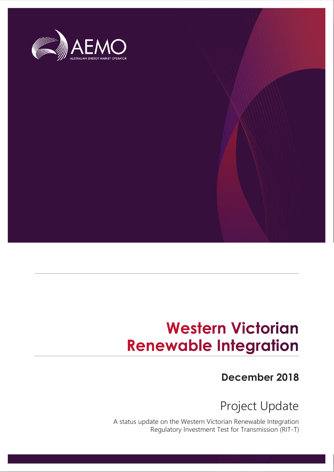

# **Western Victorian Renewable Integration**

# **December 2018**

Project Update

A status update on the Western Victorian Renewable Integration Regulatory Investment Test for Transmission (RIT-T)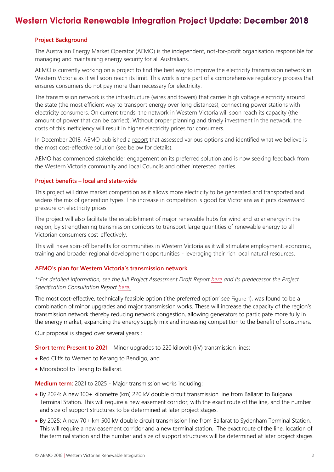# Western Victoria Renewable Integration Project Update: December 2018

#### **Project Background**

The Australian Energy Market Operator (AEMO) is the independent, not-for-profit organisation responsible for managing and maintaining energy security for all Australians.

AEMO is currently working on a project to find the best way to improve the electricity transmission network in Western Victoria as it will soon reach its limit. This work is one part of a comprehensive regulatory process that ensures consumers do not pay more than necessary for electricity.

The transmission network is the infrastructure (wires and towers) that carries high voltage electricity around the state (the most efficient way to transport energy over long distances), connecting power stations with electricity consumers. On current trends, the network in Western Victoria will soon reach its capacity (the amount of power that can be carried). Without proper planning and timely investment in the network, the costs of this inefficiency will result in higher electricity prices for consumers.

In December 2018, AEMO published a [report](http://aemo.com.au/Electricity/National-Electricity-Market-NEM/Planning-and-forecasting/Victorian-transmission-network-service-provider-role/RITT/Reports-and-project-updates) that assessed various options and identified what we believe is the most cost-effective solution (see below for details).

AEMO has commenced stakeholder engagement on its preferred solution and is now seeking feedback from the Western Victoria community and local Councils and other interested parties.

#### **Project benefits – local and state-wide**

This project will drive market competition as it allows more electricity to be generated and transported and widens the mix of generation types. This increase in competition is good for Victorians as it puts downward pressure on electricity prices

The project will also facilitate the establishment of major renewable hubs for wind and solar energy in the region, by strengthening transmission corridors to transport large quantities of renewable energy to all Victorian consumers cost-effectively.

This will have spin-off benefits for communities in Western Victoria as it will stimulate employment, economic, training and broader regional development opportunities - leveraging their rich local natural resources.

#### **AEMO's plan for Western Victoria's transmission network**

*\*\*For detailed information, see the full Project Assessment Draft Report [here](http://aemo.com.au/Electricity/National-Electricity-Market-NEM/Planning-and-forecasting/Victorian-transmission-network-service-provider-role/RITT/Reports-and-project-updates) and its predecessor the Project Specification Consultation Report [here.](http://aemo.com.au/Electricity/National-Electricity-Market-NEM/Planning-and-forecasting/Victorian-transmission-network-service-provider-role/RITT/Reports-and-project-updates)*

The most cost-effective, technically feasible option ('the preferred option' see [Figure 1](#page-2-0)), was found to be a combination of minor upgrades and major transmission works. These will increase the capacity of the region's transmission network thereby reducing network congestion, allowing generators to participate more fully in the energy market, expanding the energy supply mix and increasing competition to the benefit of consumers.

Our proposal is staged over several years :

**Short term: Present to 2021** - Minor upgrades to 220 kilovolt (kV) transmission lines:

- Red Cliffs to Wemen to Kerang to Bendigo, and
- Moorabool to Terang to Ballarat.

**Medium term:** 2021 to 2025 - Major transmission works including:

- By 2024: A new 100+ kilometre (km) 220 kV double circuit transmission line from Ballarat to Bulgana Terminal Station. This will require a new easement corridor, with the exact route of the line, and the number and size of support structures to be determined at later project stages.
- By 2025: A new 70+ km 500 kV double circuit transmission line from Ballarat to Sydenham Terminal Station. This will require a new easement corridor and a new terminal station. The exact route of the line, location of the terminal station and the number and size of support structures will be determined at later project stages.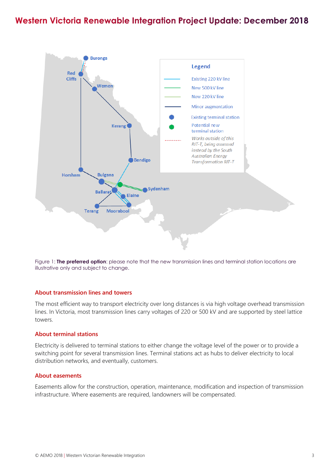### Western Victoria Renewable Integration Project Update: December 2018



<span id="page-2-0"></span>Figure 1: **The preferred option**: please note that the new transmission lines and terminal station locations are illustrative only and subject to change.

#### **About transmission lines and towers**

The most efficient way to transport electricity over long distances is via high voltage overhead transmission lines. In Victoria, most transmission lines carry voltages of 220 or 500 kV and are supported by steel lattice towers.

#### **About terminal stations**

Electricity is delivered to terminal stations to either change the voltage level of the power or to provide a switching point for several transmission lines. Terminal stations act as hubs to deliver electricity to local distribution networks, and eventually, customers.

#### **About easements**

Easements allow for the construction, operation, maintenance, modification and inspection of transmission infrastructure. Where easements are required, landowners will be compensated.